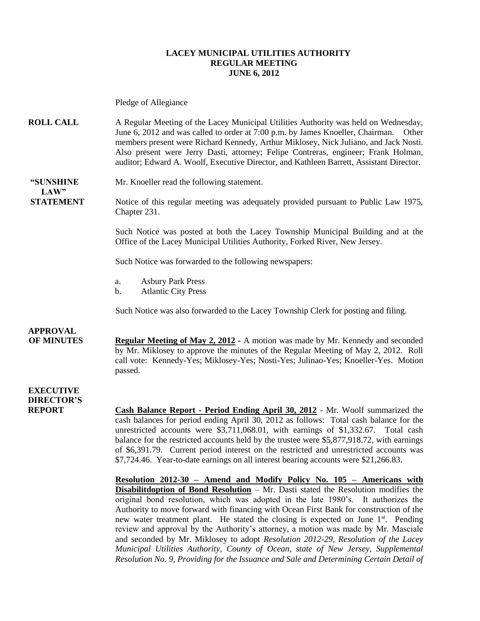#### **LACEY MUNICIPAL UTILITIES AUTHORITY REGULAR MEETING JUNE 6, 2012**

Pledge of Allegiance

**ROLL CALL** A Regular Meeting of the Lacey Municipal Utilities Authority was held on Wednesday, June 6, 2012 and was called to order at 7:00 p.m. by James Knoeller, Chairman. Other members present were Richard Kennedy, Arthur Miklosey, Nick Juliano, and Jack Nosti. Also present were Jerry Dasti, attorney; Felipe Contreras, engineer; Frank Holman, auditor; Edward A. Woolf, Executive Director, and Kathleen Barrett, Assistant Director.

**"SUNSHINE** Mr. Knoeller read the following statement. **LAW"**

**STATEMENT** Notice of this regular meeting was adequately provided pursuant to Public Law 1975, Chapter 231.

> Such Notice was posted at both the Lacey Township Municipal Building and at the Office of the Lacey Municipal Utilities Authority, Forked River, New Jersey.

Such Notice was forwarded to the following newspapers:

- a. Asbury Park Press
- b. Atlantic City Press

Such Notice was also forwarded to the Lacey Township Clerk for posting and filing.

### **APPROVAL**

**OF MINUTES Regular Meeting of May 2, 2012 -** A motion was made by Mr. Kennedy and seconded by Mr. Miklosey to approve the minutes of the Regular Meeting of May 2, 2012. Roll call vote: Kennedy-Yes; Miklosey-Yes; Nosti-Yes; Julinao-Yes; Knoeller-Yes. Motion passed.

### **EXECUTIVE DIRECTOR'S**

**REPORT Cash Balance Report - Period Ending April 30, 2012** - Mr. Woolf summarized the cash balances for period ending April 30, 2012 as follows: Total cash balance for the unrestricted accounts were \$3,711,068.01, with earnings of \$1,332.67. Total cash balance for the restricted accounts held by the trustee were \$5,877,918.72, with earnings of \$6,391.79. Current period interest on the restricted and unrestricted accounts was \$7,724.46. Year-to-date earnings on all interest bearing accounts were \$21,266.83.

> **Resolution 2012-30 – Amend and Modify Policy No. 105 – Americans with Disabilitdoption of Bond Resolution** – Mr. Dasti stated the Resolution modifies the original bond resolution, which was adopted in the late 1980's. It authorizes the Authority to move forward with financing with Ocean First Bank for construction of the new water treatment plant. He stated the closing is expected on June  $1<sup>st</sup>$ . Pending review and approval by the Authority's attorney, a motion was made by Mr. Masciale and seconded by Mr. Miklosey to adopt *Resolution 2012-29, Resolution of the Lacey Municipal Utilities Authority, County of Ocean, state of New Jersey, Supplemental Resolution No. 9, Providing for the Issuance and Sale and Determining Certain Detail of*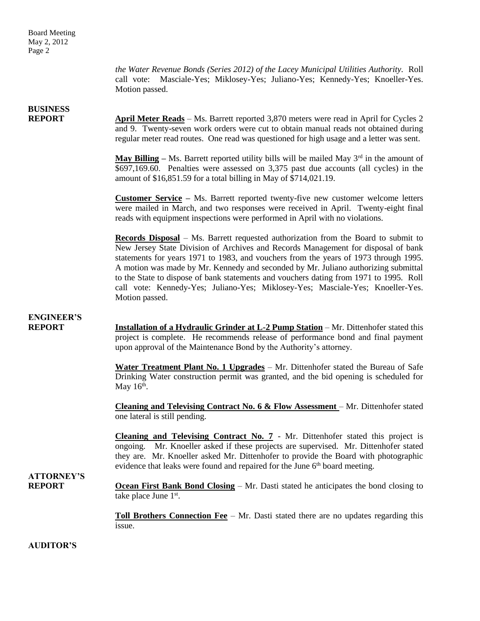*the Water Revenue Bonds (Series 2012) of the Lacey Municipal Utilities Authority.* Roll call vote: Masciale-Yes; Miklosey-Yes; Juliano-Yes; Kennedy-Yes; Knoeller-Yes. Motion passed.

# **BUSINESS**

**REPORT April Meter Reads** – Ms. Barrett reported 3,870 meters were read in April for Cycles 2 and 9. Twenty-seven work orders were cut to obtain manual reads not obtained during regular meter read routes. One read was questioned for high usage and a letter was sent.

> **May Billing** – Ms. Barrett reported utility bills will be mailed May  $3^{rd}$  in the amount of \$697,169.60. Penalties were assessed on 3,375 past due accounts (all cycles) in the amount of \$16,851.59 for a total billing in May of \$714,021.19.

> **Customer Service –** Ms. Barrett reported twenty-five new customer welcome letters were mailed in March, and two responses were received in April. Twenty-eight final reads with equipment inspections were performed in April with no violations.

> **Records Disposal** – Ms. Barrett requested authorization from the Board to submit to New Jersey State Division of Archives and Records Management for disposal of bank statements for years 1971 to 1983, and vouchers from the years of 1973 through 1995. A motion was made by Mr. Kennedy and seconded by Mr. Juliano authorizing submittal to the State to dispose of bank statements and vouchers dating from 1971 to 1995. Roll call vote: Kennedy-Yes; Juliano-Yes; Miklosey-Yes; Masciale-Yes; Knoeller-Yes. Motion passed.

### **ENGINEER'S**

**REPORT Installation of a Hydraulic Grinder at L-2 Pump Station** – Mr. Dittenhofer stated this project is complete. He recommends release of performance bond and final payment upon approval of the Maintenance Bond by the Authority's attorney.

> **Water Treatment Plant No. 1 Upgrades** – Mr. Dittenhofer stated the Bureau of Safe Drinking Water construction permit was granted, and the bid opening is scheduled for May  $16<sup>th</sup>$ .

> **Cleaning and Televising Contract No. 6 & Flow Assessment** – Mr. Dittenhofer stated one lateral is still pending.

> **Cleaning and Televising Contract No. 7** - Mr. Dittenhofer stated this project is ongoing. Mr. Knoeller asked if these projects are supervised. Mr. Dittenhofer stated they are. Mr. Knoeller asked Mr. Dittenhofer to provide the Board with photographic evidence that leaks were found and repaired for the June  $6<sup>th</sup>$  board meeting.

## **ATTORNEY'S**

**REPORT Ocean First Bank Bond Closing** – Mr. Dasti stated he anticipates the bond closing to take place June 1<sup>st</sup>.

> **Toll Brothers Connection Fee** – Mr. Dasti stated there are no updates regarding this issue.

**AUDITOR'S**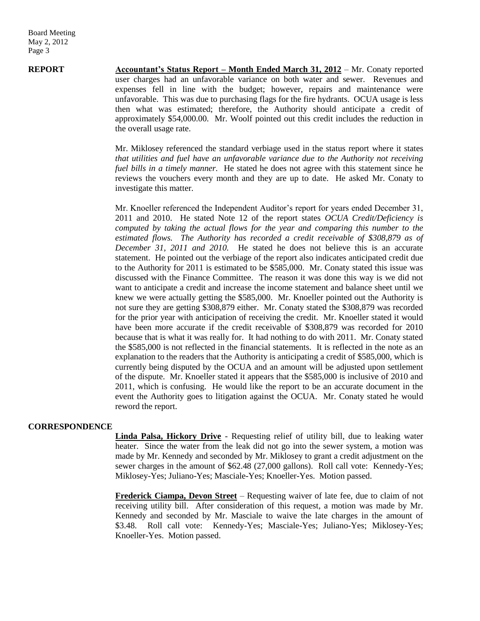**REPORT Accountant's Status Report – Month Ended March 31, 2012** – Mr. Conaty reported user charges had an unfavorable variance on both water and sewer. Revenues and expenses fell in line with the budget; however, repairs and maintenance were unfavorable. This was due to purchasing flags for the fire hydrants. OCUA usage is less then what was estimated; therefore, the Authority should anticipate a credit of approximately \$54,000.00. Mr. Woolf pointed out this credit includes the reduction in the overall usage rate.

> Mr. Miklosey referenced the standard verbiage used in the status report where it states *that utilities and fuel have an unfavorable variance due to the Authority not receiving fuel bills in a timely manner.* He stated he does not agree with this statement since he reviews the vouchers every month and they are up to date. He asked Mr. Conaty to investigate this matter.

> Mr. Knoeller referenced the Independent Auditor's report for years ended December 31, 2011 and 2010. He stated Note 12 of the report states *OCUA Credit/Deficiency is computed by taking the actual flows for the year and comparing this number to the estimated flows. The Authority has recorded a credit receivable of \$308,879 as of December 31, 2011 and 2010.* He stated he does not believe this is an accurate statement. He pointed out the verbiage of the report also indicates anticipated credit due to the Authority for 2011 is estimated to be \$585,000. Mr. Conaty stated this issue was discussed with the Finance Committee. The reason it was done this way is we did not want to anticipate a credit and increase the income statement and balance sheet until we knew we were actually getting the \$585,000. Mr. Knoeller pointed out the Authority is not sure they are getting \$308,879 either. Mr. Conaty stated the \$308,879 was recorded for the prior year with anticipation of receiving the credit. Mr. Knoeller stated it would have been more accurate if the credit receivable of \$308,879 was recorded for 2010 because that is what it was really for. It had nothing to do with 2011. Mr. Conaty stated the \$585,000 is not reflected in the financial statements. It is reflected in the note as an explanation to the readers that the Authority is anticipating a credit of \$585,000, which is currently being disputed by the OCUA and an amount will be adjusted upon settlement of the dispute. Mr. Knoeller stated it appears that the \$585,000 is inclusive of 2010 and 2011, which is confusing. He would like the report to be an accurate document in the event the Authority goes to litigation against the OCUA. Mr. Conaty stated he would reword the report.

#### **CORRESPONDENCE**

**Linda Palsa, Hickory Drive** - Requesting relief of utility bill, due to leaking water heater. Since the water from the leak did not go into the sewer system, a motion was made by Mr. Kennedy and seconded by Mr. Miklosey to grant a credit adjustment on the sewer charges in the amount of \$62.48 (27,000 gallons). Roll call vote: Kennedy-Yes; Miklosey-Yes; Juliano-Yes; Masciale-Yes; Knoeller-Yes. Motion passed.

**Frederick Ciampa, Devon Street** – Requesting waiver of late fee, due to claim of not receiving utility bill. After consideration of this request, a motion was made by Mr. Kennedy and seconded by Mr. Masciale to waive the late charges in the amount of \$3.48. Roll call vote: Kennedy-Yes; Masciale-Yes; Juliano-Yes; Miklosey-Yes; Knoeller-Yes. Motion passed.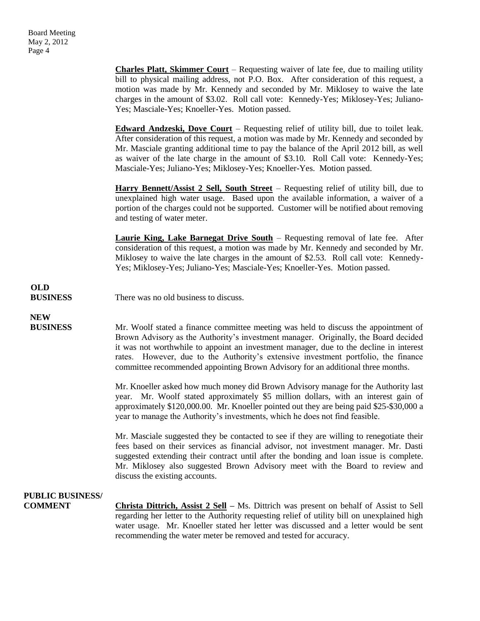**Charles Platt, Skimmer Court** – Requesting waiver of late fee, due to mailing utility bill to physical mailing address, not P.O. Box. After consideration of this request, a motion was made by Mr. Kennedy and seconded by Mr. Miklosey to waive the late charges in the amount of \$3.02. Roll call vote: Kennedy-Yes; Miklosey-Yes; Juliano-Yes; Masciale-Yes; Knoeller-Yes. Motion passed.

**Edward Andzeski, Dove Court** – Requesting relief of utility bill, due to toilet leak. After consideration of this request, a motion was made by Mr. Kennedy and seconded by Mr. Masciale granting additional time to pay the balance of the April 2012 bill, as well as waiver of the late charge in the amount of \$3.10. Roll Call vote: Kennedy-Yes; Masciale-Yes; Juliano-Yes; Miklosey-Yes; Knoeller-Yes. Motion passed.

**Harry Bennett/Assist 2 Sell, South Street** – Requesting relief of utility bill, due to unexplained high water usage. Based upon the available information, a waiver of a portion of the charges could not be supported. Customer will be notified about removing and testing of water meter.

**Laurie King, Lake Barnegat Drive South** – Requesting removal of late fee. After consideration of this request, a motion was made by Mr. Kennedy and seconded by Mr. Miklosey to waive the late charges in the amount of \$2.53. Roll call vote: Kennedy-Yes; Miklosey-Yes; Juliano-Yes; Masciale-Yes; Knoeller-Yes. Motion passed.

# **OLD**

**BUSINESS** There was no old business to discuss.

# **NEW**

**BUSINESS** Mr. Woolf stated a finance committee meeting was held to discuss the appointment of Brown Advisory as the Authority's investment manager. Originally, the Board decided it was not worthwhile to appoint an investment manager, due to the decline in interest rates. However, due to the Authority's extensive investment portfolio, the finance committee recommended appointing Brown Advisory for an additional three months.

> Mr. Knoeller asked how much money did Brown Advisory manage for the Authority last year. Mr. Woolf stated approximately \$5 million dollars, with an interest gain of approximately \$120,000.00. Mr. Knoeller pointed out they are being paid \$25-\$30,000 a year to manage the Authority's investments, which he does not find feasible.

> Mr. Masciale suggested they be contacted to see if they are willing to renegotiate their fees based on their services as financial advisor, not investment manager. Mr. Dasti suggested extending their contract until after the bonding and loan issue is complete. Mr. Miklosey also suggested Brown Advisory meet with the Board to review and discuss the existing accounts.

### **PUBLIC BUSINESS/**

**COMMENT** Christa Dittrich, Assist 2 Sell – Ms. Dittrich was present on behalf of Assist to Sell regarding her letter to the Authority requesting relief of utility bill on unexplained high water usage. Mr. Knoeller stated her letter was discussed and a letter would be sent recommending the water meter be removed and tested for accuracy.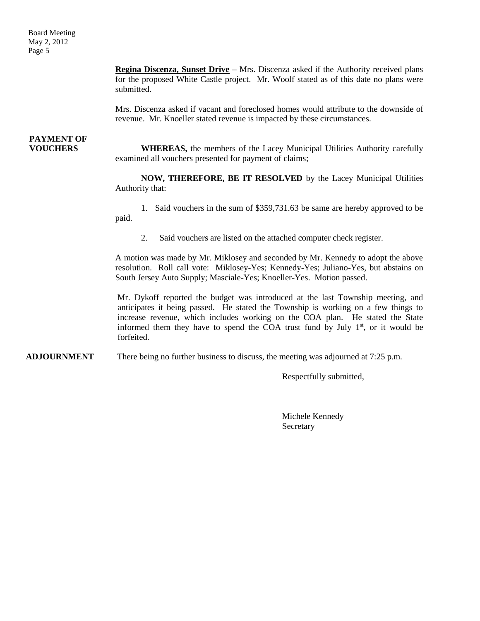Board Meeting May 2, 2012 Page 5

> **Regina Discenza, Sunset Drive** – Mrs. Discenza asked if the Authority received plans for the proposed White Castle project. Mr. Woolf stated as of this date no plans were submitted.

> Mrs. Discenza asked if vacant and foreclosed homes would attribute to the downside of revenue. Mr. Knoeller stated revenue is impacted by these circumstances.

# **PAYMENT OF**

**VOUCHERS** WHEREAS, the members of the Lacey Municipal Utilities Authority carefully examined all vouchers presented for payment of claims;

> **NOW, THEREFORE, BE IT RESOLVED** by the Lacey Municipal Utilities Authority that:

> 1. Said vouchers in the sum of \$359,731.63 be same are hereby approved to be paid.

2. Said vouchers are listed on the attached computer check register.

A motion was made by Mr. Miklosey and seconded by Mr. Kennedy to adopt the above resolution. Roll call vote: Miklosey-Yes; Kennedy-Yes; Juliano-Yes, but abstains on South Jersey Auto Supply; Masciale-Yes; Knoeller-Yes. Motion passed.

Mr. Dykoff reported the budget was introduced at the last Township meeting, and anticipates it being passed. He stated the Township is working on a few things to increase revenue, which includes working on the COA plan. He stated the State informed them they have to spend the COA trust fund by July  $1<sup>st</sup>$ , or it would be forfeited.

**ADJOURNMENT** There being no further business to discuss, the meeting was adjourned at 7:25 p.m.

Respectfully submitted,

Michele Kennedy **Secretary**